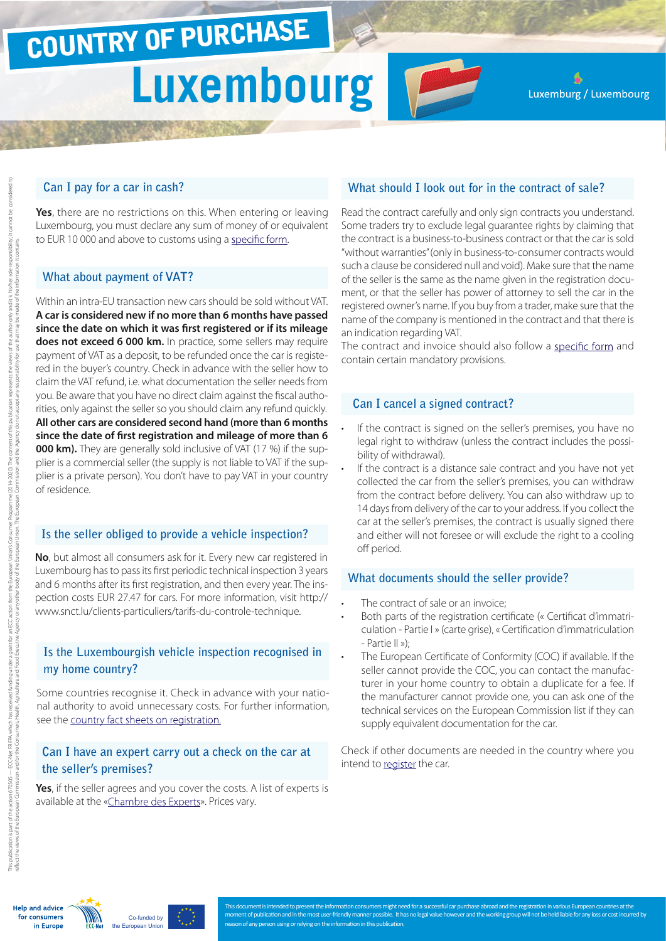# COUNTRY OF PURCHASE **Luxembourg**

Luxemburg / Luxembourg

## **Can I pay for a car in cash?**

**Yes**, there are no restrictions on this. When entering or leaving Luxembourg, you must declare any sum of money of or equivalent to EUR 10 000 and above to customs using a [specific form.](http://www.do.etat.lu/CashControl/index.htm)

## **What about payment of VAT?**

Within an intra-EU transaction new cars should be sold without VAT. **A car is considered new if no more than 6 months have passed since the date on which it was first registered or if its mileage does not exceed 6 000 km.** In practice, some sellers may require payment of VAT as a deposit, to be refunded once the car is registered in the buyer's country. Check in advance with the seller how to claim the VAT refund, i.e. what documentation the seller needs from you. Be aware that you have no direct claim against the fiscal authorities, only against the seller so you should claim any refund quickly. **All other cars are considered second hand (more than 6 months since the date of first registration and mileage of more than 6 000 km).** They are generally sold inclusive of VAT (17 %) if the supplier is a commercial seller (the supply is not liable to VAT if the supplier is a private person). You don't have to pay VAT in your country of residence.

## **Is the seller obliged to provide a vehicle inspection?**

**No**, but almost all consumers ask for it. Every new car registered in Luxembourg has to pass its first periodic technical inspection 3 years and 6 months after its first registration, and then every year. The inspection costs EUR 27.47 for cars. For more information, visit http:// www.snct.lu/clients-particuliers/tarifs-du-controle-technique.

## **Is the Luxembourgish vehicle inspection recognised in my home country?**

Some countries recognise it. Check in advance with your national authority to avoid unnecessary costs. For further information, see the [country fact sheets on registration.](http://www.europe-consommateurs.eu/en/consumer-topics/on-the-road/buying-a-car/cross-border-car-purchase-and-registration/)

## **Can I have an expert carry out a check on the car at the seller's premises?**

**Yes**, if the seller agrees and you cover the costs. A list of experts is available at the [«Chambre des Experts](http://www.chambre-expert.lu/)». Prices vary.

## **What should I look out for in the contract of sale?**

Read the contract carefully and only sign contracts you understand. Some traders try to exclude legal guarantee rights by claiming that the contract is a business-to-business contract or that the car is sold "without warranties" (only in business-to-consumer contracts would such a clause be considered null and void). Make sure that the name of the seller is the same as the name given in the registration document, or that the seller has power of attorney to sell the car in the registered owner's name. If you buy from a trader, make sure that the name of the company is mentioned in the contract and that there is an indication regarding VAT.

The contract and invoice should also follow a [specific form](http://www.snca.lu/content/view/115/187/lang,french/) and contain certain mandatory provisions.

#### **Can I cancel a signed contract?**

- If the contract is signed on the seller's premises, you have no legal right to withdraw (unless the contract includes the possibility of withdrawal).
- If the contract is a distance sale contract and you have not yet collected the car from the seller's premises, you can withdraw from the contract before delivery. You can also withdraw up to 14 days from delivery of the car to your address. If you collect the car at the seller's premises, the contract is usually signed there and either will not foresee or will exclude the right to a cooling off period.

#### **What documents should the seller provide?**

- The contract of sale or an invoice:
- Both parts of the registration certificate (« Certificat d'immatriculation - Partie I » (carte grise), « Certification d'immatriculation - Partie II »);
- The European Certificate of Conformity (COC) if available. If the seller cannot provide the COC, you can contact the manufacturer in your home country to obtain a duplicate for a fee. If the manufacturer cannot provide one, you can ask one of the technical services on the European Commission list if they can supply equivalent documentation for the car.

Check if other documents are needed in the country where you intend to [register](http://www.europe-consommateurs.eu/en/consumer-topics/on-the-road/buying-a-car/cross-border-car-purchase-and-registration/) the car.